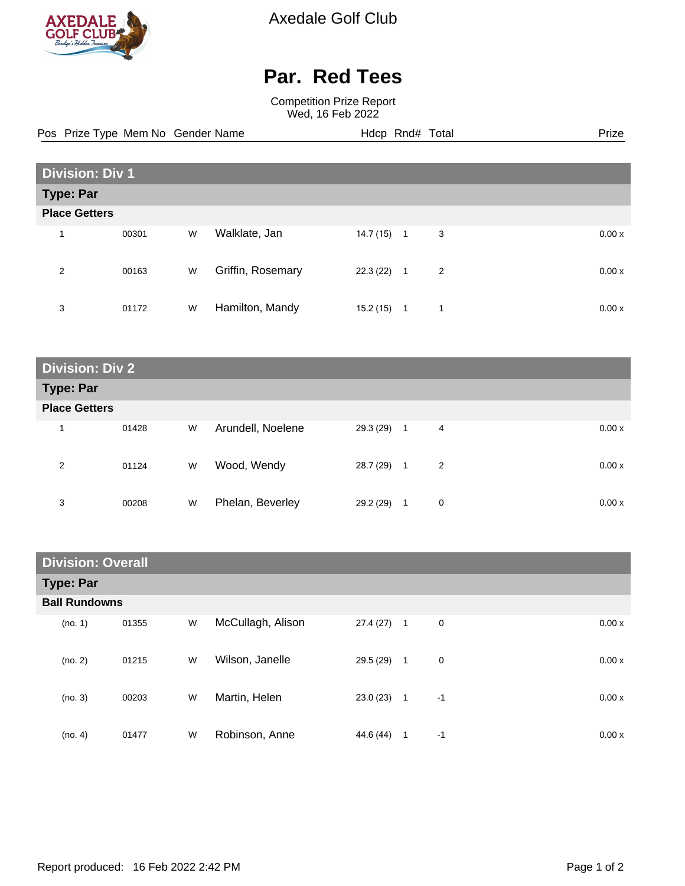

Axedale Golf Club

## **Par. Red Tees**

Competition Prize Report Wed, 16 Feb 2022

Pos Prize Type Mem No Gender Name **Hdcp Rnd# Total** Prize Prize

| <b>Division: Div 1</b> |       |   |                   |           |                     |        |
|------------------------|-------|---|-------------------|-----------|---------------------|--------|
| <b>Type: Par</b>       |       |   |                   |           |                     |        |
| <b>Place Getters</b>   |       |   |                   |           |                     |        |
| 4                      | 00301 | W | Walklate, Jan     | 14.7 (15) | 3<br>$\overline{1}$ | 0.00x  |
| 2                      | 00163 | W | Griffin, Rosemary | 22.3 (22) | 2<br>$\overline{1}$ | 0.00x  |
| 3                      | 01172 | W | Hamilton, Mandy   | 15.2 (15) | 1<br>$\mathbf{1}$   | 0.00 x |

| <b>Division: Div 2</b> |       |   |                   |              |                                |       |
|------------------------|-------|---|-------------------|--------------|--------------------------------|-------|
| <b>Type: Par</b>       |       |   |                   |              |                                |       |
| <b>Place Getters</b>   |       |   |                   |              |                                |       |
| 1                      | 01428 | W | Arundell, Noelene | $29.3(29)$ 1 | 4                              | 0.00x |
| 2                      | 01124 | W | Wood, Wendy       | 28.7 (29)    | $\overline{2}$<br>$\mathbf{1}$ | 0.00x |
| 3                      | 00208 | W | Phelan, Beverley  | 29.2 (29)    | 0<br>1                         | 0.00x |

| <b>Division: Overall</b> |       |   |                   |           |              |      |        |
|--------------------------|-------|---|-------------------|-----------|--------------|------|--------|
| <b>Type: Par</b>         |       |   |                   |           |              |      |        |
| <b>Ball Rundowns</b>     |       |   |                   |           |              |      |        |
| (no. 1)                  | 01355 | W | McCullagh, Alison | 27.4 (27) | $\mathbf{1}$ | 0    | 0.00x  |
| (no. 2)                  | 01215 | W | Wilson, Janelle   | 29.5 (29) | $\mathbf{1}$ | 0    | 0.00x  |
| (no. 3)                  | 00203 | W | Martin, Helen     | 23.0(23)  | $\mathbf{1}$ | $-1$ | 0.00 x |
| (no. 4)                  | 01477 | W | Robinson, Anne    | 44.6 (44) | 1            | $-1$ | 0.00 x |